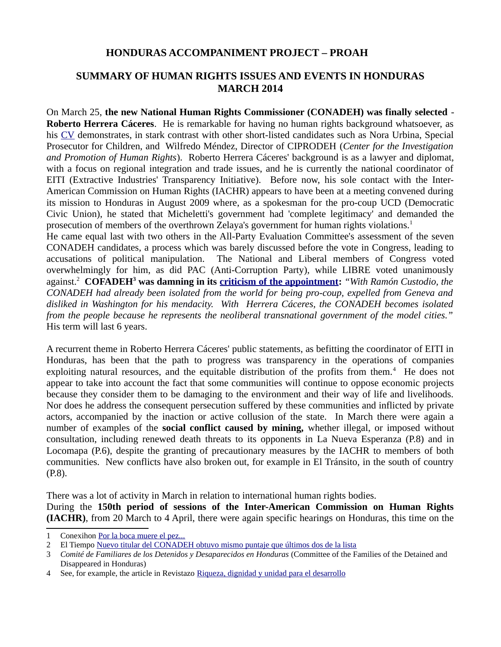## **HONDURAS ACCOMPANIMENT PROJECT – PROAH**

# **SUMMARY OF HUMAN RIGHTS ISSUES AND EVENTS IN HONDURAS MARCH 2014**

On March 25, **the new National Human Rights Commissioner (CONADEH) was finally selected** - **Roberto Herrera Cáceres**. He is remarkable for having no human rights background whatsoever, as his [CV](http://www.google.co.uk/url?sa=t&rct=j&q=&esrc=s&source=web&cd=5&ved=0CFAQFjAE&url=http://www.fonac.gob.hn/sites/default/files/imagenes/vida.doc&ei=Wk1IU_DIMtDe7AbFuYCAAw&usg=AFQjCNGF1MQqqg31O4upAbki76Ue1GBv1Q&bvm=bv.64542518,d.ZGU) demonstrates, in stark contrast with other short-listed candidates such as Nora Urbina, Special Prosecutor for Children, and Wilfredo Méndez, Director of CIPRODEH (*Center for the Investigation and Promotion of Human Rights*). Roberto Herrera Cáceres' background is as a lawyer and diplomat, with a focus on regional integration and trade issues, and he is currently the national coordinator of EITI (Extractive Industries' Transparency Initiative). Before now, his sole contact with the Inter-American Commission on Human Rights (IACHR) appears to have been at a meeting convened during its mission to Honduras in August 2009 where, as a spokesman for the pro-coup UCD (Democratic Civic Union), he stated that Micheletti's government had 'complete legitimacy' and demanded the prosecution of members of the overthrown Zelaya's government for human rights violations.<sup>[1](#page-0-0)</sup>

He came equal last with two others in the All-Party Evaluation Committee's assessment of the seven CONADEH candidates, a process which was barely discussed before the vote in Congress, leading to accusations of political manipulation. The National and Liberal members of Congress voted overwhelmingly for him, as did PAC (Anti-Corruption Party), while LIBRE voted unanimously against.[2](#page-0-1) **COFADEH[3](#page-0-2) was damning in its [criticism of the appointment:](http://www.defensoresenlinea.com/cms/index.php?option=com_content&view=article&id=3048:el-nuevo-comisionado-de-derechos-humanos&catid=71:def&Itemid=166)** *"With Ramón Custodio, the CONADEH had already been isolated from the world for being pro-coup, expelled from Geneva and disliked in Washington for his mendacity. With Herrera Cáceres, the CONADEH becomes isolated from the people because he represents the neoliberal transnational government of the model cities."* His term will last 6 years.

A recurrent theme in Roberto Herrera Cáceres' public statements, as befitting the coordinator of EITI in Honduras, has been that the path to progress was transparency in the operations of companies exploiting natural resources, and the equitable distribution of the profits from them.<sup>[4](#page-0-3)</sup> He does not appear to take into account the fact that some communities will continue to oppose economic projects because they consider them to be damaging to the environment and their way of life and livelihoods. Nor does he address the consequent persecution suffered by these communities and inflicted by private actors, accompanied by the inaction or active collusion of the state. In March there were again a number of examples of the **social conflict caused by mining,** whether illegal, or imposed without consultation, including renewed death threats to its opponents in La Nueva Esperanza (P.8) and in Locomapa (P.6), despite the granting of precautionary measures by the IACHR to members of both communities. New conflicts have also broken out, for example in El Tránsito, in the south of country (P.8).

There was a lot of activity in March in relation to international human rights bodies. During the **150th period of sessions of the Inter-American Commission on Human Rights (IACHR)**, from 20 March to 4 April, there were again specific hearings on Honduras, this time on the

<span id="page-0-0"></span><sup>1</sup> Conexihon [Por la boca muere el pez...](http://conexihon.hn/site/opiniones/palabra-libre/por-la-boca-muere-el-pez)

<span id="page-0-1"></span><sup>2</sup> El Tiempo [Nuevo titular del CONADEH obtuvo mismo puntaje que últimos dos de la lista](http://www.tiempo.hn/portada/noticias/nuevo-titular-del-conadeh-obtuvo-mismo-puntaje-que-ultimos-dos-de-la-lista)

<span id="page-0-2"></span><sup>3</sup> *Comité de Familiares de los Detenidos y Desaparecidos en Honduras* (Committee of the Families of the Detained and Disappeared in Honduras)

<span id="page-0-3"></span><sup>4</sup> See, for example, the article in Revistazo [Riqueza, dignidad y unidad para el desarrollo](http://www.revistazo.biz/web2/index.php/enfoque/item/841-riqueza-dignidad-y-unidad-para-el-desarrollo)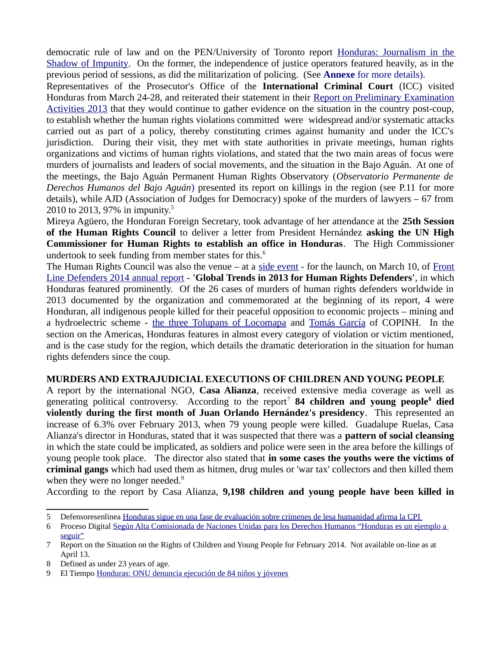democratic rule of law and on the PEN/University of Toronto report [Honduras: Journalism in the](http://webmail.tiscali.co.uk/cp/ps/Mail/ExternalURLProxy?d=tiscali.co.uk&u=jillpowis&url=http://pen-international.us2.list-manage.com/track/click!!u~~9ad2826722a998e8a63b0772f%5E%5Eamp;id~~744d3951ed%5E%5Eamp;e~~0ce62babe2&urlHash=2.8537415986269636E91) [Shadow of Impunity.](http://webmail.tiscali.co.uk/cp/ps/Mail/ExternalURLProxy?d=tiscali.co.uk&u=jillpowis&url=http://pen-international.us2.list-manage.com/track/click!!u~~9ad2826722a998e8a63b0772f%5E%5Eamp;id~~744d3951ed%5E%5Eamp;e~~0ce62babe2&urlHash=2.8537415986269636E91) On the former, the independence of justice operators featured heavily, as in the previous period of sessions, as did the militarization of policing. (See **Annexe** for more details).

Representatives of the Prosecutor's Office of the **International Criminal Court** (ICC) visited Honduras from March 24-28, and reiterated their statement in their [Report on Preliminary Examination](http://www.icc-cpi.int/en_menus/icc/press%20and%20media/press%20releases/Documents/OTP%20Preliminary%20Examinations/OTP%20-%20Report%20%20Preliminary%20Examination%20Activities%202013.PDF) [Activities 2013](http://www.icc-cpi.int/en_menus/icc/press%20and%20media/press%20releases/Documents/OTP%20Preliminary%20Examinations/OTP%20-%20Report%20%20Preliminary%20Examination%20Activities%202013.PDF) that they would continue to gather evidence on the situation in the country post-coup, to establish whether the human rights violations committed were widespread and/or systematic attacks carried out as part of a policy, thereby constituting crimes against humanity and under the ICC's jurisdiction. During their visit, they met with state authorities in private meetings, human rights organizations and victims of human rights violations, and stated that the two main areas of focus were murders of journalists and leaders of social movements, and the situation in the Bajo Aguán. At one of the meetings, the Bajo Aguán Permanent Human Rights Observatory (*Observatorio Permanente de Derechos Humanos del Bajo Aguán*) presented its report on killings in the region (see P.11 for more details), while AJD (Association of Judges for Democracy) spoke of the murders of lawyers – 67 from 2010 to 2013, 97% in impunity.[5](#page-1-0)

Mireya Agüero, the Honduran Foreign Secretary, took advantage of her attendance at the **25th Session of the Human Rights Council** to deliver a letter from President Hernández **asking the UN High Commissioner for Human Rights to establish an office in Honduras**. The High Commissioner undertook to seek funding from member states for this. $6\overline{ }$  $6\overline{ }$ 

The Human Rights Council was also the venue – at a [side event](https://www.frontlinedefenders.org/shrinking-space-for-civil-society) - for the launch, on March 10, of [Front](http://www.frontlinedefenders.org/files/2014_front_line_defenders_annual_report.pdf) [Line Defenders 2014 annual report](http://www.frontlinedefenders.org/files/2014_front_line_defenders_annual_report.pdf) - **'Global Trends in 2013 for Human Rights Defenders'**, in which Honduras featured prominently. Of the 26 cases of murders of human rights defenders worldwide in 2013 documented by the organization and commemorated at the beginning of its report, 4 were Honduran, all indigenous people killed for their peaceful opposition to economic projects – mining and a hydroelectric scheme - [the three Tolupans of Locomapa](http://hondurasaccompanimentproject.wordpress.com/2013/08/27/mining-three-members-of-tolupan-indigenous-group-murdered-in-yoro/) and [Tomás García](http://www.soaw.org/about-us/equipo-sur/263-stories-from-honduras/4129-tomasgarcia) of COPINH. In the section on the Americas, Honduras features in almost every category of violation or victim mentioned, and is the case study for the region, which details the dramatic deterioration in the situation for human rights defenders since the coup.

## **MURDERS AND EXTRAJUDICIAL EXECUTIONS OF CHILDREN AND YOUNG PEOPLE**

A report by the international NGO, **Casa Alianza**, received extensive media coverage as well as generating political controversy. According to the report<sup>[7](#page-1-2)</sup> [8](#page-1-3)4 children and young people<sup>8</sup> died **violently during the first month of Juan Orlando Hernández's presidency**. This represented an increase of 6.3% over February 2013, when 79 young people were killed. Guadalupe Ruelas, Casa Alianza's director in Honduras, stated that it was suspected that there was a **pattern of social cleansing** in which the state could be implicated, as soldiers and police were seen in the area before the killings of young people took place. The director also stated that **in some cases the youths were the victims of criminal gangs** which had used them as hitmen, drug mules or 'war tax' collectors and then killed them when they were no longer needed. $9$ 

According to the report by Casa Alianza, **9,198 children and young people have been killed in**

<span id="page-1-0"></span><sup>5</sup> Defensoresenlinea [Honduras sigue en una fase de evaluación sobre crímenes de lesa humanidad afirma la CPI](http://www.defensoresenlinea.com/cms/index.php?option=com_content&view=article&id=3049:honduras-sigue-en-una-fase-de-evaluacion-sobre-crimenes-de-lesa-humanidad-afirma-la-cpi&catid=37:mem-y-imp&Itemid=150) 

<span id="page-1-1"></span><sup>6</sup> Proceso Digital [Según Alta Comisionada de Naciones Unidas para los Derechos Humanos "Honduras es un ejemplo a](http://proceso.hn/2014/03/07/Nacionales/Seg.C.BAn/83263.html)  [seguir"](http://proceso.hn/2014/03/07/Nacionales/Seg.C.BAn/83263.html)

<span id="page-1-2"></span><sup>7</sup> Report on the Situation on the Rights of Children and Young People for February 2014. Not available on-line as at April 13.

<span id="page-1-3"></span><sup>8</sup> Defined as under 23 years of age.

<span id="page-1-4"></span><sup>9</sup> El Tiempo [Honduras: ONU denuncia ejecución de 84 niños y jóvenes](http://www.tiempo.hn/portada/noticias/honduras-onu-denuncia-ejecucion-de-84-ninos-y-jovenes-en-primer-mes-de-nuevo-gobierno)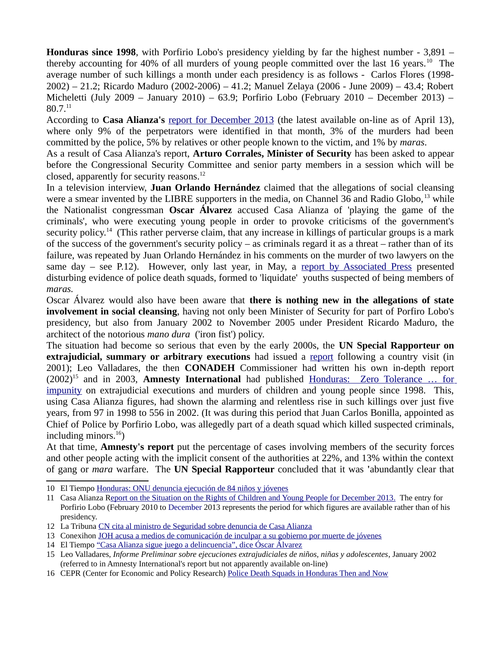**Honduras since 1998**, with Porfirio Lobo's presidency yielding by far the highest number - 3,891 – thereby accounting for 40% of all murders of young people committed over the last 16 years.<sup>[10](#page-2-0)</sup> The average number of such killings a month under each presidency is as follows - Carlos Flores (1998- 2002) – 21.2; Ricardo Maduro (2002-2006) – 41.2; Manuel Zelaya (2006 - June 2009) – 43.4; Robert Micheletti (July 2009 – January 2010) – 63.9; Porfirio Lobo (February 2010 – December 2013) – 80.7.[11](#page-2-1)

According to **Casa Alianza's** [report for December 2013](http://www.scribd.com/doc/204973119/Informe-Mensual-Diciembre-2013-Casa-Alianza-Honduras) (the latest available on-line as of April 13), where only 9% of the perpetrators were identified in that month, 3% of the murders had been committed by the police, 5% by relatives or other people known to the victim, and 1% by *maras*.

As a result of Casa Alianza's report, **Arturo Corrales, Minister of Security** has been asked to appear before the Congressional Security Committee and senior party members in a session which will be closed, apparently for security reasons. $^{12}$  $^{12}$  $^{12}$ 

In a television interview, **Juan Orlando Hernández** claimed that the allegations of social cleansing were a smear invented by the LIBRE supporters in the media, on Channel 36 and Radio Globo, <sup>[13](#page-2-3)</sup> while the Nationalist congressman **Oscar Álvarez** accused Casa Alianza of 'playing the game of the criminals', who were executing young people in order to provoke criticisms of the government's security policy.<sup>[14](#page-2-4)</sup> (This rather perverse claim, that any increase in killings of particular groups is a mark of the success of the government's security policy – as criminals regard it as a threat – rather than of its failure, was repeated by Juan Orlando Hernández in his comments on the murder of two lawyers on the same day  $-$  see P.12). However, only last year, in May, a [report by Associated Press](http://news.yahoo.com/ap-impact-honduran-police-accused-death-squads-235203072.html) presented disturbing evidence of police death squads, formed to 'liquidate' youths suspected of being members of *maras.*

Oscar Álvarez would also have been aware that **there is nothing new in the allegations of state involvement in social cleansing**, having not only been Minister of Security for part of Porfiro Lobo's presidency, but also from January 2002 to November 2005 under President Ricardo Maduro, the architect of the notorious *mano dura* ('iron fist') policy.

The situation had become so serious that even by the early 2000s, the **UN Special Rapporteur on extrajudicial, summary or arbitrary executions** had issued a [report](http://daccess-dds-ny.un.org/doc/UNDOC/GEN/G02/140/28/PDF/G0214028.pdf?OpenElement) following a country visit (in 2001); Leo Valladares, the then **CONADEH** Commissioner had written his own in-depth report (2002)[15](#page-2-5) and in 2003, **Amnesty International** had published [Honduras: Zero Tolerance … for](http://www.amnesty.org/en/library/asset/AMR37/001/2003/en/06d64a73-d752-11dd-b024-21932cd2170d/amr370012003en.pdf) [impunity](http://www.amnesty.org/en/library/asset/AMR37/001/2003/en/06d64a73-d752-11dd-b024-21932cd2170d/amr370012003en.pdf) on extrajudicial executions and murders of children and young people since 1998. This, using Casa Alianza figures, had shown the alarming and relentless rise in such killings over just five years, from 97 in 1998 to 556 in 2002. (It was during this period that Juan Carlos Bonilla, appointed as Chief of Police by Porfirio Lobo, was allegedly part of a death squad which killed suspected criminals, including minors. $^{16}$  $^{16}$  $^{16}$ )

At that time, **Amnesty's report** put the percentage of cases involving members of the security forces and other people acting with the implicit consent of the authorities at 22%, and 13% within the context of gang or *mara* warfare. The **UN Special Rapporteur** concluded that it was **'**abundantly clear that

<span id="page-2-0"></span><sup>10</sup> El Tiempo [Honduras: ONU denuncia ejecución de 84 niños y jóvenes](http://www.tiempo.hn/portada/noticias/honduras-onu-denuncia-ejecucion-de-84-ninos-y-jovenes-en-primer-mes-de-nuevo-gobierno)

<span id="page-2-1"></span><sup>11</sup> Casa Alianza [R eport on the Situation on the Rights of Children and Young People for December 2013.](http://www.scribd.com/doc/204973119/Informe-Mensual-Diciembre-2013-Casa-Alianza-Honduras) The entry for Porfirio Lobo (February 2010 to December 2013 represents the period for which figures are available rather than of his presidency.

<span id="page-2-2"></span><sup>12</sup> La Tribuna [CN cita al ministro de Seguridad sobre denuncia de Casa Alianza](http://www.latribuna.hn/2014/03/28/cn-cita-al-ministro-de-seguridad-sobre-denuncia-de-casa-alianza/)

<span id="page-2-3"></span><sup>13</sup> Conexihon [JOH acusa a medios de comunicación de inculpar a su gobierno por muerte de jóvenes](http://conexihon.info/site/noticia/libertad-de-expresi%C3%B3n/joh-acusa-medios-de-comunicaci%C3%B3n-de-inculpar-su-gobierno-por-muerte-de)

<span id="page-2-4"></span><sup>14</sup> El Tiempo ["Casa Alianza sigue juego a delincuencia", dice Óscar Álvarez](http://www.tiempo.hn/portada/noticias/%E2%80%9Ccasa-alianza-sigue-juego-a-delincuencia)

<span id="page-2-5"></span><sup>15</sup> Leo Valladares, *Informe Preliminar sobre ejecuciones extrajudiciales de niños, niñas y adolescentes*, January 2002 (referred to in Amnesty International's report but not apparently available on-line)

<span id="page-2-6"></span><sup>16</sup> CEPR (Center for Economic and Policy Research) [Police Death Squads in Honduras Then and Now](http://www.cepr.net/index.php/blogs/the-americas-blog/police-death-squads-in-honduras-then-and-now)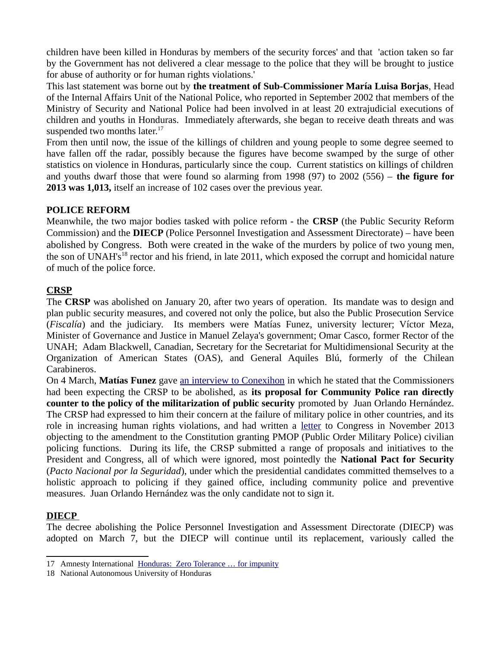children have been killed in Honduras by members of the security forces' and that 'action taken so far by the Government has not delivered a clear message to the police that they will be brought to justice for abuse of authority or for human rights violations.'

This last statement was borne out by **the treatment of Sub-Commissioner María Luisa Borjas**, Head of the Internal Affairs Unit of the National Police, who reported in September 2002 that members of the Ministry of Security and National Police had been involved in at least 20 extrajudicial executions of children and youths in Honduras. Immediately afterwards, she began to receive death threats and was suspended two months later. $17$ 

From then until now, the issue of the killings of children and young people to some degree seemed to have fallen off the radar, possibly because the figures have become swamped by the surge of other statistics on violence in Honduras, particularly since the coup. Current statistics on killings of children and youths dwarf those that were found so alarming from 1998 (97) to 2002 (556) – **the figure for 2013 was 1,013,** itself an increase of 102 cases over the previous year.

## **POLICE REFORM**

Meanwhile, the two major bodies tasked with police reform - the **CRSP** (the Public Security Reform Commission) and the **DIECP** (Police Personnel Investigation and Assessment Directorate) – have been abolished by Congress. Both were created in the wake of the murders by police of two young men, the son of UNAH's<sup>[18](#page-3-1)</sup> rector and his friend, in late 2011, which exposed the corrupt and homicidal nature of much of the police force.

#### **CRSP**

The **CRSP** was abolished on January 20, after two years of operation. Its mandate was to design and plan public security measures, and covered not only the police, but also the Public Prosecution Service (*Fiscalía*) and the judiciary. Its members were Matías Funez, university lecturer; Víctor Meza, Minister of Governance and Justice in Manuel Zelaya's government; Omar Casco, former Rector of the UNAH; Adam Blackwell, Canadian, Secretary for the Secretariat for Multidimensional Security at the Organization of American States (OAS), and General Aquiles Blú, formerly of the Chilean Carabineros.

On 4 March, **Matías Funez** gave [an interview to Conexihon](http://conexihon.hn/site/noticia/transparencia-y-corrupci%C3%B3n/mat%C3%ADas-f%C3%BAnez-%E2%80%9Caqu%C3%AD-no-hay-un-sistema-de-seguridad) in which he stated that the Commissioners had been expecting the CRSP to be abolished, as **its proposal for Community Police ran directly counter to the policy of the militarization of public security** promoted by Juan Orlando Hernández. The CRSP had expressed to him their concern at the failure of military police in other countries, and its role in increasing human rights violations, and had written a [letter](http://crsp.hn/images/Oficio_313_ST_CRSP-Comisi%C3%B3n_de_Seguridad_del_CN.pdf) to Congress in November 2013 objecting to the amendment to the Constitution granting PMOP (Public Order Military Police) civilian policing functions. During its life, the CRSP submitted a range of proposals and initiatives to the President and Congress, all of which were ignored, most pointedly the **National Pact for Security** (*Pacto Nacional por la Seguridad*), under which the presidential candidates committed themselves to a holistic approach to policing if they gained office, including community police and preventive measures. Juan Orlando Hernández was the only candidate not to sign it.

## **DIECP**

The decree abolishing the Police Personnel Investigation and Assessment Directorate (DIECP) was adopted on March 7, but the DIECP will continue until its replacement, variously called the

<span id="page-3-0"></span><sup>17</sup> Amnesty International [Honduras: Zero Tolerance … for impunity](http://www.amnesty.org/en/library/asset/AMR37/001/2003/en/06d64a73-d752-11dd-b024-21932cd2170d/amr370012003en.pdf)

<span id="page-3-1"></span><sup>18</sup> National Autonomous University of Honduras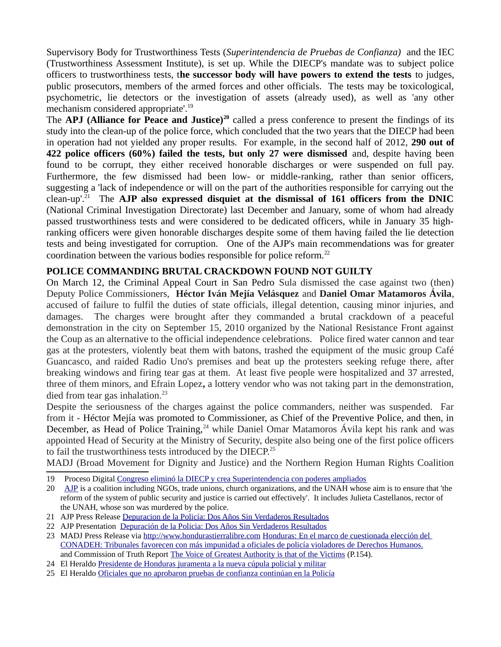Supervisory Body for Trustworthiness Tests (*Superintendencia de Pruebas de Confianza)* and the IEC (Trustworthiness Assessment Institute), is set up. While the DIECP's mandate was to subject police officers to trustworthiness tests, t**he successor body will have powers to extend the tests** to judges, public prosecutors, members of the armed forces and other officials. The tests may be toxicological, psychometric, lie detectors or the investigation of assets (already used), as well as 'any other mechanism considered appropriate'.<sup>[19](#page-4-0)</sup>

The **APJ (Alliance for Peace and Justice)[20](#page-4-1)** called a press conference to present the findings of its study into the clean-up of the police force, which concluded that the two years that the DIECP had been in operation had not yielded any proper results. For example, in the second half of 2012, **290 out of 422 police officers (60%) failed the tests, but only 27 were dismissed** and, despite having been found to be corrupt, they either received honorable discharges or were suspended on full pay. Furthermore, the few dismissed had been low- or middle-ranking, rather than senior officers, suggesting a 'lack of independence or will on the part of the authorities responsible for carrying out the clean-up'.[21](#page-4-2) The **AJP also expressed disquiet at the dismissal of 161 officers from the DNIC** (National Criminal Investigation Directorate) last December and January, some of whom had already passed trustworthiness tests and were considered to be dedicated officers, while in January 35 highranking officers were given honorable discharges despite some of them having failed the lie detection tests and being investigated for corruption. One of the AJP's main recommendations was for greater coordination between the various bodies responsible for police reform.<sup>[22](#page-4-3)</sup>

#### **POLICE COMMANDING BRUTAL CRACKDOWN FOUND NOT GUILTY**

On March 12, the Criminal Appeal Court in San Pedro Sula dismissed the case against two (then) Deputy Police Commissioners, **Héctor Iván Mejía Velásquez** and **Daniel Omar Matamoros Ávila**, accused of failure to fulfil the duties of state officials, illegal detention, causing minor injuries, and damages.The charges were brought after they commanded a brutal crackdown of a peaceful demonstration in the city on September 15, 2010 organized by the National Resistance Front against the Coup as an alternative to the official independence celebrations. Police fired water cannon and tear gas at the protesters, violently beat them with batons, trashed the equipment of the music group Café Guancasco, and raided Radio Uno's premises and beat up the protesters seeking refuge there, after breaking windows and firing tear gas at them. At least five people were hospitalized and 37 arrested, three of them minors, and Efrain Lopez**,** a lottery vendor who was not taking part in the demonstration, died from tear gas inhalation.<sup>[23](#page-4-4)</sup>

Despite the seriousness of the charges against the police commanders, neither was suspended. Far from it - Héctor Mejía was promoted to Commissioner, as Chief of the Preventive Police, and then, in December, as Head of Police Training,  $24$  while Daniel Omar Matamoros Ávila kept his rank and was appointed Head of Security at the Ministry of Security, despite also being one of the first police officers to fail the trustworthiness tests introduced by the DIECP.<sup>[25](#page-4-6)</sup>

MADJ (Broad Movement for Dignity and Justice) and the Northern Region Human Rights Coalition

- <span id="page-4-2"></span>21 AJP Press Release [Depuracion de la Policía: Dos Años Sin Verdaderos Resultados](http://pazyjusticiahonduras.com/phocadownload/comunicados/comunicado%20depuracion%20apj%203-26-14.pdf)
- <span id="page-4-3"></span>22 AJP Presentation [Depuración de la Policia: Dos Años Sin Verdaderos Resultados](http://pazyjusticiahonduras.com/phocadownload/Presentaciones/presentacin%20informe%20de%20depuracion26032014.pdf)
- <span id="page-4-4"></span>23 MADJ Press Release via [http://www.hondurastierralibre.com](http://www.hondurastierralibre.com/) [Honduras: En el marco de cuestionada elección del](http://www.hondurastierralibre.com/2014/03/honduras-en-el-marco-de-cuestionada.html)  [CONADEH: Tribunales favorecen con más impunidad a oficiales de policía violadores de Derechos Humanos.](http://www.hondurastierralibre.com/2014/03/honduras-en-el-marco-de-cuestionada.html) and Commission of Truth Report [The Voice of Greatest Authority is that of the Victims](http://friendshipamericas.org/sites/default/files/report_cdv_honduras_english.pdf) (P.154).
- <span id="page-4-5"></span>24 El Heraldo [Presidente de Honduras juramenta a la nueva cúpula policial y militar](http://www.elheraldo.hn/Secciones-Principales/Pais/Presidente-de-Honduras-juramenta-a-la-nueva-cupula-policial-y-militar)
- <span id="page-4-6"></span>25 El Heraldo [Oficiales que no aprobaron pruebas de confianza continúan en la Policía](http://www.elheraldo.hn/Secciones-Principales/Pais/Oficiales-que-no-aprobaron-pruebas-de-confianza-continuan-en-la-Policia)

<span id="page-4-0"></span><sup>19</sup> Proceso Digital [Congreso eliminó la DIECP y crea Superintendencia con poderes ampliados](http://www.proceso.hn/2014/03/07/Nacionales/Congreso.elimin.C/83292.html)

<span id="page-4-1"></span><sup>20</sup> [AJP](http://www.pazyjusticiahonduras.com/) is a coalition including NGOs, trade unions, church organizations, and the UNAH whose aim is to ensure that 'the reform of the system of public security and justice is carried out effectively'. It includes Julieta Castellanos, rector of the UNAH, whose son was murdered by the police.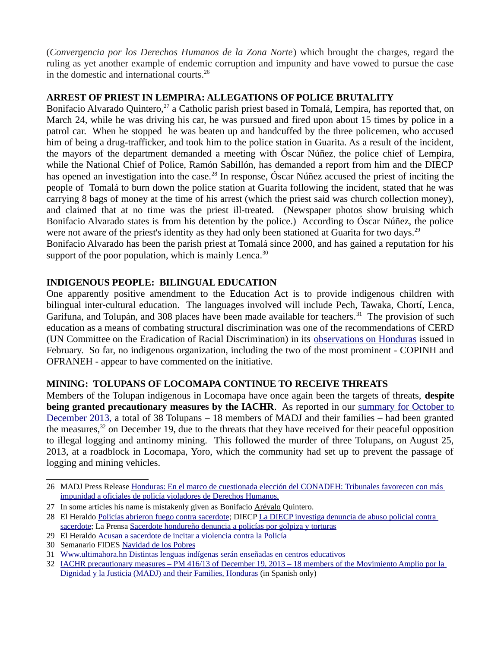(*Convergencia por los Derechos Humanos de la Zona Norte*) which brought the charges, regard the ruling as yet another example of endemic corruption and impunity and have vowed to pursue the case in the domestic and international courts.<sup>[26](#page-5-0)</sup>

#### **ARREST OF PRIEST IN LEMPIRA: ALLEGATIONS OF POLICE BRUTALITY**

Bonifacio Alvarado Quintero,<sup>[27](#page-5-1)</sup> a Catholic parish priest based in Tomalá, Lempira, has reported that, on March 24, while he was driving his car, he was pursued and fired upon about 15 times by police in a patrol car. When he stopped he was beaten up and handcuffed by the three policemen, who accused him of being a drug-trafficker, and took him to the police station in Guarita. As a result of the incident, the mayors of the department demanded a meeting with Óscar Núñez, the police chief of Lempira, while the National Chief of Police, Ramón Sabillón, has demanded a report from him and the DIECP has opened an investigation into the case.<sup>[28](#page-5-2)</sup> In response, Óscar Núñez accused the priest of inciting the people of Tomalá to burn down the police station at Guarita following the incident, stated that he was carrying 8 bags of money at the time of his arrest (which the priest said was church collection money), and claimed that at no time was the priest ill-treated. (Newspaper photos show bruising which Bonifacio Alvarado states is from his detention by the police.) According to Óscar Núñez, the police were not aware of the priest's identity as they had only been stationed at Guarita for two days.<sup>[29](#page-5-3)</sup> Bonifacio Alvarado has been the parish priest at Tomalá since 2000, and has gained a reputation for his

support of the poor population, which is mainly Lenca. $30$ 

## **INDIGENOUS PEOPLE: BILINGUAL EDUCATION**

One apparently positive amendment to the Education Act is to provide indigenous children with bilingual inter-cultural education. The languages involved will include Pech, Tawaka, Chortí, Lenca, Garifuna, and Tolupán, and 308 places have been made available for teachers.<sup>[31](#page-5-5)</sup> The provision of such education as a means of combating structural discrimination was one of the recommendations of CERD (UN Committee on the Eradication of Racial Discrimination) in its [observations on Honduras](http://tbinternet.ohchr.org/_layouts/treatybodyexternal/Download.aspx?symbolno=CERD/C/HND/CO/1-5&Lang=en) issued in February. So far, no indigenous organization, including the two of the most prominent - COPINH and OFRANEH - appear to have commented on the initiative.

#### **MINING: TOLUPANS OF LOCOMAPA CONTINUE TO RECEIVE THREATS**

Members of the Tolupan indigenous in Locomapa have once again been the targets of threats, **despite being granted precautionary measures by the IACHR**. As reported in our [summary for October to](http://hondurasaccompanimentproject.wordpress.com/2014/02/03/summary-of-human-rights-issues-and-events-in-honduras-october-november-december-2013/) [December 2013,](http://hondurasaccompanimentproject.wordpress.com/2014/02/03/summary-of-human-rights-issues-and-events-in-honduras-october-november-december-2013/) a total of 38 Tolupans – 18 members of MADJ and their families – had been granted the measures, $32$  on December 19, due to the threats that they have received for their peaceful opposition to illegal logging and antinomy mining. This followed the murder of three Tolupans, on August 25, 2013, at a roadblock in Locomapa, Yoro, which the community had set up to prevent the passage of logging and mining vehicles.

<span id="page-5-0"></span><sup>26</sup> MADJ Press Release [Honduras: En el marco de cuestionada elección del CONADEH: Tribunales favorecen con más](http://www.hondurastierralibre.com/2014/03/honduras-en-el-marco-de-cuestionada.html)  [impunidad a oficiales de policía violadores de Derechos Humanos.](http://www.hondurastierralibre.com/2014/03/honduras-en-el-marco-de-cuestionada.html)

<span id="page-5-1"></span><sup>27</sup> In some articles his name is mistakenly given as Bonifacio Arévalo Quintero.

<span id="page-5-2"></span><sup>28</sup> El Heraldo [Policías abrieron fuego contra sacerdote;](http://www.elheraldo.hn/Secciones-Principales/Pais/Policias-abrieron-fuego-contra-sacerdote) DIECP La DIECP investiga denuncia de abuso policial contra [sacerdote;](http://www.diecp.hn/index.php?option=com_content&view=article&id=358:la-diecp-investiga-denuncia-de-abuso-policial-contra-sacerdote&catid=9:uncategorised&Itemid=435) La Prensa [Sacerdote hondureño denuncia a policías por golpiza y torturas](http://www.laprensa.hn/mobile/msucesos/630784-274/sacerdote-hondureno-denuncia-a-policias-por-golpiza-y-torturas)

<span id="page-5-3"></span><sup>29</sup> El Heraldo [Acusan a sacerdote de incitar a violencia contra la Policía](http://www.elheraldo.hn/Secciones-Principales/Sucesos/Acusan-a-sacerdote-de-incitar-a-violencia-contra-la-Policia)

<span id="page-5-4"></span><sup>30</sup> Semanario FIDES [Navidad de los Pobres](http://semanariofides.com/2009/12/24/navidad-de-los-pobres/)

<span id="page-5-5"></span><sup>31</sup> [Www.ultimahora.hn](http://Www.ultimahora.hn/) [Distintas lenguas indígenas serán enseñadas en centros educativos](http://www.ultimahora.hn/node/15964)

<span id="page-5-6"></span><sup>32</sup> IACHR precautionary measures [– PM 416/13 of December 19, 2013 – 18 members of the Movimiento Amplio por la](http://www.oas.org/es/cidh/decisiones/cautelares.asp)  [Dignidad y la Justicia \(MADJ\) and their Families, Honduras](http://www.oas.org/es/cidh/decisiones/cautelares.asp) (in Spanish only)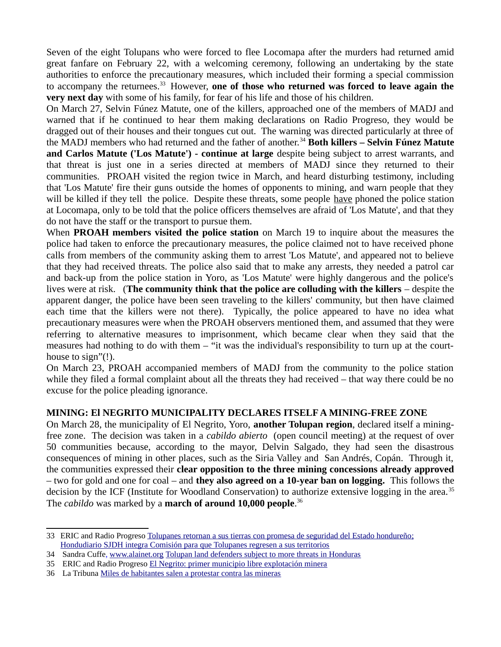Seven of the eight Tolupans who were forced to flee Locomapa after the murders had returned amid great fanfare on February 22, with a welcoming ceremony, following an undertaking by the state authorities to enforce the precautionary measures, which included their forming a special commission to accompany the returnees.[33](#page-6-0) However, **one of those who returned was forced to leave again the very next day** with some of his family, for fear of his life and those of his children.

On March 27, Selvin Fúnez Matute, one of the killers, approached one of the members of MADJ and warned that if he continued to hear them making declarations on Radio Progreso, they would be dragged out of their houses and their tongues cut out. The warning was directed particularly at three of the MADJ members who had returned and the father of another.[34](#page-6-1) **Both killers – Selvin Fúnez Matute and Carlos Matute ('Los Matute') - continue at large** despite being subject to arrest warrants, and that threat is just one in a series directed at members of MADJ since they returned to their communities. PROAH visited the region twice in March, and heard disturbing testimony, including that 'Los Matute' fire their guns outside the homes of opponents to mining, and warn people that they will be killed if they tell the police. Despite these threats, some people have phoned the police station at Locomapa, only to be told that the police officers themselves are afraid of 'Los Matute', and that they do not have the staff or the transport to pursue them.

When **PROAH members visited the police station** on March 19 to inquire about the measures the police had taken to enforce the precautionary measures, the police claimed not to have received phone calls from members of the community asking them to arrest 'Los Matute', and appeared not to believe that they had received threats. The police also said that to make any arrests, they needed a patrol car and back-up from the police station in Yoro, as 'Los Matute' were highly dangerous and the police's lives were at risk. (**The community think that the police are colluding with the killers** – despite the apparent danger, the police have been seen traveling to the killers' community, but then have claimed each time that the killers were not there). Typically, the police appeared to have no idea what precautionary measures were when the PROAH observers mentioned them, and assumed that they were referring to alternative measures to imprisonment, which became clear when they said that the measures had nothing to do with them – "it was the individual's responsibility to turn up at the courthouse to sign"(!).

On March 23, PROAH accompanied members of MADJ from the community to the police station while they filed a formal complaint about all the threats they had received – that way there could be no excuse for the police pleading ignorance.

## **MINING: El NEGRITO MUNICIPALITY DECLARES ITSELF A MINING-FREE ZONE**

On March 28, the municipality of El Negrito, Yoro, **another Tolupan region**, declared itself a miningfree zone. The decision was taken in a *cabildo abierto* (open council meeting) at the request of over 50 communities because, according to the mayor, Delvin Salgado, they had seen the disastrous consequences of mining in other places, such as the Siria Valley and San Andrés, Copán. Through it, the communities expressed their **clear opposition to the three mining concessions already approved** – two for gold and one for coal – and **they also agreed on a 10-year ban on logging.** This follows the decision by the ICF (Institute for Woodland Conservation) to authorize extensive logging in the area.<sup>[35](#page-6-2)</sup> The *cabildo* was marked by a **march of around 10,000 people**. [36](#page-6-3)

<span id="page-6-0"></span><sup>33</sup> ERIC and Radio Progreso Tolupanes retornan a sus tierras con promesa de seguridad del Estado hondureño; Hondudiario [SJDH integra Comisión para que Tolupanes regresen a sus territorios](http://www.hondudiario.com/?q=node/7134)

<span id="page-6-1"></span><sup>34</sup> Sandra Cuffe, [www.alainet.org](http://www.alainet.org/) [Tolupan land defenders subject to more threats in Honduras](http://www.alainet.org/active/72712&lang=es)

<span id="page-6-2"></span><sup>35</sup> ERIC and Radio Progreso [El Negrito: primer municipio libre explotación minera](http://www.radioprogresohn.net/index.php/comunicaciones/noticias/item/821-el-negrito-el-primer-municipio-libre-explotaci%C3%B3n-minera)

<span id="page-6-3"></span><sup>36</sup> La Tribuna [Miles de habitantes salen a protestar contra las mineras](http://www.latribuna.hn/2014/03/29/miles-de-habitantes-salen-a-protestar-contra-las-mineras/)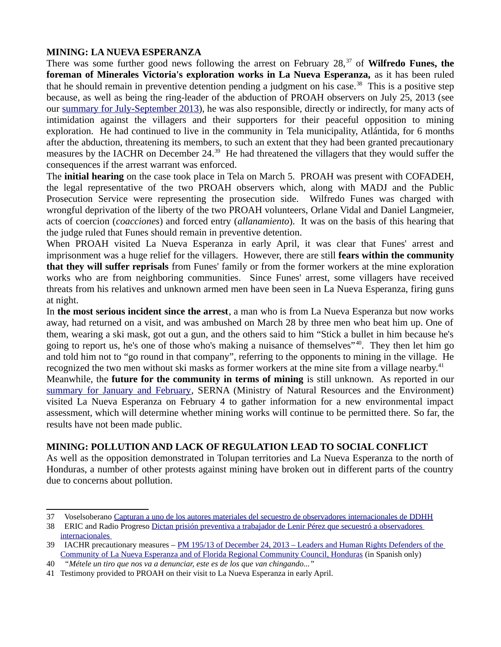#### **MINING: LA NUEVA ESPERANZA**

There was some further good news following the arrest on February 28,<sup>[37](#page-7-0)</sup> of **Wilfredo Funes, the foreman of Minerales Victoria's exploration works in La Nueva Esperanza,** as it has been ruled that he should remain in preventive detention pending a judgment on his case.<sup>[38](#page-7-1)</sup> This is a positive step because, as well as being the ring-leader of the abduction of PROAH observers on July 25, 2013 (see our [summary for July-September 2013\)](http://www.friendshipamericas.org/sites/default/files/130110Tri-monthlyFinal_0.pdf), he was also responsible, directly or indirectly, for many acts of intimidation against the villagers and their supporters for their peaceful opposition to mining exploration. He had continued to live in the community in Tela municipality, Atlántida, for 6 months after the abduction, threatening its members, to such an extent that they had been granted precautionary measures by the IACHR on December 24.<sup>[39](#page-7-2)</sup> He had threatened the villagers that they would suffer the consequences if the arrest warrant was enforced.

The **initial hearing** on the case took place in Tela on March 5. PROAH was present with COFADEH, the legal representative of the two PROAH observers which, along with MADJ and the Public Prosecution Service were representing the prosecution side. Wilfredo Funes was charged with wrongful deprivation of the liberty of the two PROAH volunteers, Orlane Vidal and Daniel Langmeier, acts of coercion (*coacciones*) and forced entry (*allanamiento*). It was on the basis of this hearing that the judge ruled that Funes should remain in preventive detention.

When PROAH visited La Nueva Esperanza in early April, it was clear that Funes' arrest and imprisonment was a huge relief for the villagers. However, there are still **fears within the community that they will suffer reprisals** from Funes' family or from the former workers at the mine exploration works who are from neighboring communities. Since Funes' arrest, some villagers have received threats from his relatives and unknown armed men have been seen in La Nueva Esperanza, firing guns at night.

In **the most serious incident since the arrest**, a man who is from La Nueva Esperanza but now works away, had returned on a visit, and was ambushed on March 28 by three men who beat him up. One of them, wearing a ski mask, got out a gun, and the others said to him "Stick a bullet in him because he's going to report us, he's one of those who's making a nuisance of themselves"[40](#page-7-3). They then let him go and told him not to "go round in that company", referring to the opponents to mining in the village. He recognized the two men without ski masks as former workers at the mine site from a village nearby.<sup>[41](#page-7-4)</sup>

Meanwhile, the **future for the community in terms of mining** is still unknown. As reported in our [summary for January and February,](http://hondurasaccompanimentproject.files.wordpress.com/2014/03/2014jan-feb-summary-final.pdf) SERNA (Ministry of Natural Resources and the Environment) visited La Nueva Esperanza on February 4 to gather information for a new environmental impact assessment, which will determine whether mining works will continue to be permitted there. So far, the results have not been made public.

## **MINING: POLLUTION AND LACK OF REGULATION LEAD TO SOCIAL CONFLICT**

As well as the opposition demonstrated in Tolupan territories and La Nueva Esperanza to the north of Honduras, a number of other protests against mining have broken out in different parts of the country due to concerns about pollution.

<span id="page-7-0"></span><sup>37</sup> Voselsoberano [Capturan a uno de los autores materiales del secuestro de observadores internacionales de DDHH](http://voselsoberano.com/index.php?option=com_content&view=article&id=16417:capturan-a-uno-de-los-autores-materiales-del-secuestro-de-observadores-internacionales-de-ddhh&catid=1:noticias-generales)

<span id="page-7-1"></span><sup>38</sup> ERIC and Radio Progreso [Dictan prisión preventiva a trabajador de Lenir Pérez que secuestró a observadores](http://radioprogresohn.net/index.php/comunicaciones/noticias/item/768-dictan-prisi%C3%B3n-preventiva-a-trabajador-de-lenir-p%C3%A9rez-que-secuestr%C3%B3-a-observadores-internacionales)  [internacionales](http://radioprogresohn.net/index.php/comunicaciones/noticias/item/768-dictan-prisi%C3%B3n-preventiva-a-trabajador-de-lenir-p%C3%A9rez-que-secuestr%C3%B3-a-observadores-internacionales) 

<span id="page-7-2"></span><sup>39</sup> IACHR precautionary measures – [PM 195/13 of December 24, 2013 – Leaders and Human Rights Defenders of the](http://www.oas.org/es/cidh/decisiones/cautelares.asp)  [Community of La Nueva Esperanza and of Florida Regional Community Council, Honduras](http://www.oas.org/es/cidh/decisiones/cautelares.asp) (in Spanish only)

<span id="page-7-3"></span><sup>40</sup>*"Métele un tiro que nos va a denunciar, este es de los que van chingando..."*

<span id="page-7-4"></span><sup>41</sup> Testimony provided to PROAH on their visit to La Nueva Esperanza in early April.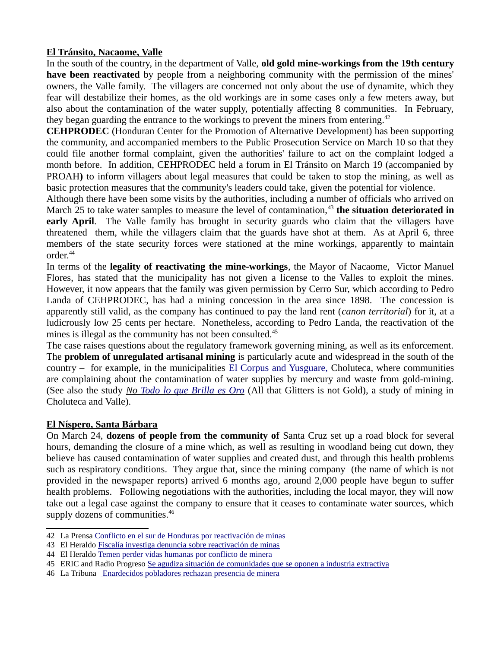#### **El Tránsito, Nacaome, Valle**

In the south of the country, in the department of Valle, **old gold mine-workings from the 19th century have been reactivated** by people from a neighboring community with the permission of the mines' owners, the Valle family. The villagers are concerned not only about the use of dynamite, which they fear will destabilize their homes, as the old workings are in some cases only a few meters away, but also about the contamination of the water supply, potentially affecting 8 communities. In February, they began guarding the entrance to the workings to prevent the miners from entering.<sup>[42](#page-8-0)</sup>

**CEHPRODEC** (Honduran Center for the Promotion of Alternative Development) has been supporting the community, and accompanied members to the Public Prosecution Service on March 10 so that they could file another formal complaint, given the authorities' failure to act on the complaint lodged a month before. In addition, CEHPRODEC held a forum in El Tránsito on March 19 (accompanied by PROAH**)** to inform villagers about legal measures that could be taken to stop the mining, as well as basic protection measures that the community's leaders could take, given the potential for violence.

Although there have been some visits by the authorities, including a number of officials who arrived on March 25 to take water samples to measure the level of contamination,<sup>[43](#page-8-1)</sup> the situation deteriorated in **early April**. The Valle family has brought in security guards who claim that the villagers have threatened them, while the villagers claim that the guards have shot at them. As at April 6, three members of the state security forces were stationed at the mine workings, apparently to maintain order.<sup>[44](#page-8-2)</sup>

In terms of the **legality of reactivating the mine-workings**, the Mayor of Nacaome, Victor Manuel Flores, has stated that the municipality has not given a license to the Valles to exploit the mines. However, it now appears that the family was given permission by Cerro Sur, which according to Pedro Landa of CEHPRODEC, has had a mining concession in the area since 1898. The concession is apparently still valid, as the company has continued to pay the land rent (*canon territorial*) for it, at a ludicrously low 25 cents per hectare. Nonetheless, according to Pedro Landa, the reactivation of the mines is illegal as the community has not been consulted.<sup>[45](#page-8-3)</sup>

The case raises questions about the regulatory framework governing mining, as well as its enforcement. The **problem of unregulated artisanal mining** is particularly acute and widespread in the south of the country  $-$  for example, in the municipalities [El Corpus and Yusguare,](http://www.latribuna.hn/2014/03/22/contaminadas-vertientes-de-agua-de-el-corpus-y-yusguare/) Choluteca, where communities are complaining about the contamination of water supplies by mercury and waste from gold-mining. (See also the study *No [Todo lo que Brilla es Oro](https://docs.google.com/file/d/0B31oOteWV4PVcUJhbXpjVUxLZGM/edit?pli=1)* (All that Glitters is not Gold), a study of mining in Choluteca and Valle).

## **El Níspero, Santa Bárbara**

On March 24, **dozens of people from the community of** Santa Cruz set up a road block for several hours, demanding the closure of a mine which, as well as resulting in woodland being cut down, they believe has caused contamination of water supplies and created dust, and through this health problems such as respiratory conditions. They argue that, since the mining company (the name of which is not provided in the newspaper reports) arrived 6 months ago, around 2,000 people have begun to suffer health problems. Following negotiations with the authorities, including the local mayor, they will now take out a legal case against the company to ensure that it ceases to contaminate water sources, which supply dozens of communities.<sup>[46](#page-8-4)</sup>

<span id="page-8-0"></span><sup>42</sup> La Prensa [Conflicto en el sur de Honduras por reactivación de minas](http://www.laprensa.hn/honduras/regionales/626422-98/conflicto-en-el-sur-de-honduras-por-reactivacion-de-minas)

<span id="page-8-1"></span><sup>43</sup> El Heraldo [Fiscalía investiga denuncia sobre reactivación de minas](http://www.elheraldo.hn/content/view/full/229927)

<span id="page-8-2"></span><sup>44</sup> El Heraldo [Temen perder vidas humanas por conflicto de minera](http://www.elheraldo.hn/content/view/full/233168)

<span id="page-8-3"></span><sup>45</sup> ERIC and Radio Progreso [Se agudiza situación de comunidades que se oponen a industria extractiva](http://radioprogresohn.net/index.php/comunicaciones/noticias/item/846-se-agudiza-situaci%C3%B3n-de-comunidades-que-se-oponen-a-industria-extractiva)

<span id="page-8-4"></span><sup>46</sup> La Tribuna [Enardecidos pobladores rechazan presencia de minera](http://www.latribuna.hn/2014/03/26/enardecidos-pobladores-rechazan-presencia-de-minera/)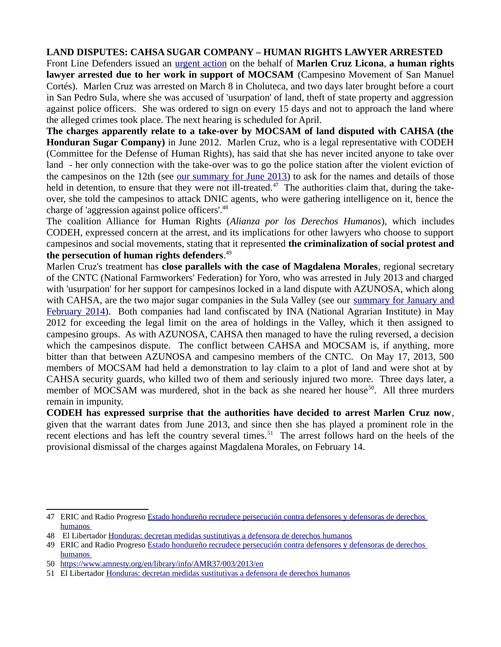**LAND DISPUTES: CAHSA SUGAR COMPANY – HUMAN RIGHTS LAWYER ARRESTED** Front Line Defenders issued an [urgent action](https://www.frontlinedefenders.org/node/25347) on the behalf of **Marlen Cruz Licona**, **a human rights lawyer arrested due to her work in support of MOCSAM** (Campesino Movement of San Manuel Cortés). Marlen Cruz was arrested on March 8 in Choluteca, and two days later brought before a court in San Pedro Sula, where she was accused of 'usurpation' of land, theft of state property and aggression against police officers. She was ordered to sign on every 15 days and not to approach the land where the alleged crimes took place. The next hearing is scheduled for April.

**The charges apparently relate to a take-over by MOCSAM of land disputed with CAHSA (the Honduran Sugar Company)** in June 2012. Marlen Cruz, who is a legal representative with CODEH (Committee for the Defense of Human Rights), has said that she has never incited anyone to take over land - her only connection with the take-over was to go the police station after the violent eviction of the campesinos on the 12th (see [our summary for June 2013\)](http://www.friendshipamericas.org/sites/default/files/Monthly%20summary%20-%20June%202013-1.pdf) to ask for the names and details of those held in detention, to ensure that they were not ill-treated.<sup>[47](#page-9-0)</sup> The authorities claim that, during the takeover, she told the campesinos to attack DNIC agents, who were gathering intelligence on it, hence the charge of 'aggression against police officers'.<sup>[48](#page-9-1)</sup>

The coalition Alliance for Human Rights (*Alianza por los Derechos Humanos*), which includes CODEH, expressed concern at the arrest, and its implications for other lawyers who choose to support campesinos and social movements, stating that it represented **the criminalization of social protest and the persecution of human rights defenders**. [49](#page-9-2)

Marlen Cruz's treatment has **close parallels with the case of Magdalena Morales**, regional secretary of the CNTC (National Farmworkers' Federation) for Yoro, who was arrested in July 2013 and charged with 'usurpation' for her support for campesinos locked in a land dispute with AZUNOSA, which along with CAHSA, are the two major sugar companies in the Sula Valley (see our [summary for January and](http://hondurasaccompanimentproject.files.wordpress.com/2014/03/2014jan-feb-summary-final.pdf) [February 2014\)](http://hondurasaccompanimentproject.files.wordpress.com/2014/03/2014jan-feb-summary-final.pdf). Both companies had land confiscated by INA (National Agrarian Institute) in May 2012 for exceeding the legal limit on the area of holdings in the Valley, which it then assigned to campesino groups. As with AZUNOSA, CAHSA then managed to have the ruling reversed, a decision which the campesinos dispute. The conflict between CAHSA and MOCSAM is, if anything, more bitter than that between AZUNOSA and campesino members of the CNTC. On May 17, 2013, 500 members of MOCSAM had held a demonstration to lay claim to a plot of land and were shot at by CAHSA security guards, who killed two of them and seriously injured two more. Three days later, a member of MOCSAM was murdered, shot in the back as she neared her house<sup>[50](#page-9-3)</sup>. All three murders remain in impunity.

**CODEH has expressed surprise that the authorities have decided to arrest Marlen Cruz now**, given that the warrant dates from June 2013, and since then she has played a prominent role in the recent elections and has left the country several times.<sup>[51](#page-9-4)</sup> The arrest follows hard on the heels of the provisional dismissal of the charges against Magdalena Morales, on February 14.

<span id="page-9-0"></span><sup>47</sup> ERIC and Radio Progreso [Estado hondureño recrudece persecución contra defensores y defensoras de derechos](http://radioprogresohn.net/index.php/comunicaciones/noticias/item/793-estado-hondure%C3%B1o-recrudece-persecuci%C3%B3n-contra-defensores-y-defensoras-de-derechos-humanos)  [humanos](http://radioprogresohn.net/index.php/comunicaciones/noticias/item/793-estado-hondure%C3%B1o-recrudece-persecuci%C3%B3n-contra-defensores-y-defensoras-de-derechos-humanos) 

<span id="page-9-1"></span><sup>48</sup> El Libertador [Honduras: decretan medidas sustitutivas a defensora de derechos humanos](http://www.ellibertador.hn/?q=article/honduras-decretan-medidas-sustitutivas-defensora-de-derechos-humanos)

<span id="page-9-2"></span><sup>49</sup> ERIC and Radio Progreso [Estado hondureño recrudece persecución contra defensores y defensoras de derechos](http://radioprogresohn.net/index.php/comunicaciones/noticias/item/793-estado-hondure%C3%B1o-recrudece-persecuci%C3%B3n-contra-defensores-y-defensoras-de-derechos-humanos)  [humanos](http://radioprogresohn.net/index.php/comunicaciones/noticias/item/793-estado-hondure%C3%B1o-recrudece-persecuci%C3%B3n-contra-defensores-y-defensoras-de-derechos-humanos) 

<span id="page-9-3"></span><sup>50</sup><https://www.amnesty.org/en/library/info/AMR37/003/2013/en>

<span id="page-9-4"></span><sup>51</sup> El Libertador [Honduras: decretan medidas sustitutivas a defensora de derechos humanos](http://www.ellibertador.hn/?q=article/honduras-decretan-medidas-sustitutivas-defensora-de-derechos-humanos)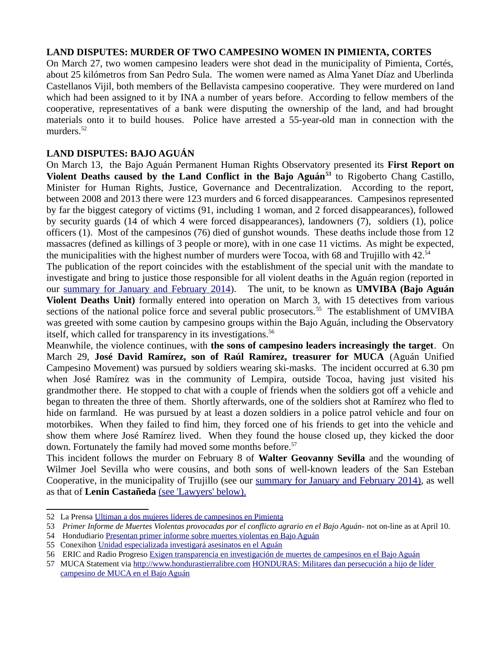#### **LAND DISPUTES: MURDER OF TWO CAMPESINO WOMEN IN PIMIENTA, CORTES**

On March 27, two women campesino leaders were shot dead in the municipality of Pimienta, Cortés, about 25 kilómetros from San Pedro Sula. The women were named as Alma Yanet Díaz and Uberlinda Castellanos Vijil, both members of the Bellavista campesino cooperative. They were murdered on land which had been assigned to it by INA a number of years before. According to fellow members of the cooperative, representatives of a bank were disputing the ownership of the land, and had brought materials onto it to build houses. Police have arrested a 55-year-old man in connection with the murders.<sup>[52](#page-10-0)</sup>

## **LAND DISPUTES: BAJO AGUÁN**

On March 13, the Bajo Aguán Permanent Human Rights Observatory presented its **First Report on Violent Deaths caused by the Land Conflict in the Bajo Aguán[53](#page-10-1)** to Rigoberto Chang Castillo, Minister for Human Rights, Justice, Governance and Decentralization. According to the report, between 2008 and 2013 there were 123 murders and 6 forced disappearances. Campesinos represented by far the biggest category of victims (91, including 1 woman, and 2 forced disappearances), followed by security guards (14 of which 4 were forced disappearances), landowners (7), soldiers (1), police officers (1). Most of the campesinos (76) died of gunshot wounds. These deaths include those from 12 massacres (defined as killings of 3 people or more), with in one case 11 victims. As might be expected, the municipalities with the highest number of murders were Tocoa, with 68 and Trujillo with  $42.^{54}$  $42.^{54}$  $42.^{54}$ 

The publication of the report coincides with the establishment of the special unit with the mandate to investigate and bring to justice those responsible for all violent deaths in the Aguán region (reported in our [summary for January and February 2014\)](http://hondurasaccompanimentproject.files.wordpress.com/2014/03/2014jan-feb-summary-final.pdf). The unit, to be known as **UMVIBA (Bajo Aguán Violent Deaths Unit)** formally entered into operation on March 3, with 15 detectives from various sections of the national police force and several public prosecutors.<sup>[55](#page-10-3)</sup> The establishment of UMVIBA was greeted with some caution by campesino groups within the Bajo Aguán, including the Observatory itself, which called for transparency in its investigations.<sup>[56](#page-10-4)</sup>

Meanwhile, the violence continues, with **the sons of campesino leaders increasingly the target**. On March 29, **José David Ramírez, son of Raúl Ramírez, treasurer for MUCA** (Aguán Unified Campesino Movement) was pursued by soldiers wearing ski-masks. The incident occurred at 6.30 pm when José Ramírez was in the community of Lempira, outside Tocoa, having just visited his grandmother there. He stopped to chat with a couple of friends when the soldiers got off a vehicle and began to threaten the three of them. Shortly afterwards, one of the soldiers shot at Ramírez who fled to hide on farmland. He was pursued by at least a dozen soldiers in a police patrol vehicle and four on motorbikes. When they failed to find him, they forced one of his friends to get into the vehicle and show them where José Ramírez lived. When they found the house closed up, they kicked the door down. Fortunately the family had moved some months before.<sup>[57](#page-10-5)</sup>

This incident follows the murder on February 8 of **Walter Geovanny Sevilla** and the wounding of Wilmer Joel Sevilla who were cousins, and both sons of well-known leaders of the San Esteban Cooperative, in the municipality of Trujillo (see our summary for January and February 2014), as well as that of **Lenin Castañeda** (see 'Lawyers' below).

<span id="page-10-0"></span><sup>52</sup> La Prensa [Ultiman a dos mujeres líderes de campesinos en Pimienta](http://www.laprensa.hn/sucesos/policiales/631168-96/ultiman-a-dos-mujeres-lideres-de-campesinos-en-pimienta)

<span id="page-10-1"></span><sup>53</sup> *Primer Informe de Muertes Violentas provocadas por el conflicto agrario en el Bajo Aguán-* not on-line as at April 10.

<span id="page-10-2"></span><sup>54</sup> Hondudiario [Presentan primer informe sobre muertes violentas en Bajo Aguán](http://hondudiario.com/?q=node/7455)

<span id="page-10-3"></span><sup>55</sup> Conexihon [Unidad especializada investigará asesinatos en el Aguán](http://conexihon.info/site/noticia/derechos-humanos/derechos-humanos-conflicto-agrario-y-minero/unidad-especializada)

<span id="page-10-4"></span><sup>56</sup> ERIC and Radio Progreso [Exigen transparencia en investigación de muertes de campesinos en el Bajo Aguán](http://radioprogresohn.net/index.php/comunicaciones/noticias/item/798-exigen-transparencia-en-investigaci%C3%B3n-de-muertes-de-campesinos-en-el-bajo-agu%C3%A1n)

<span id="page-10-5"></span><sup>57</sup> MUCA Statement via [http://www.hondurastierralibre.com](http://www.hondurastierralibre.com/) HONDURAS: Militares dan persecución a hijo de líder [campesino de MUCA en el Bajo Aguán](http://www.hondurastierralibre.com/2014/03/honduras-militares-dan-persecucion-hijo.html)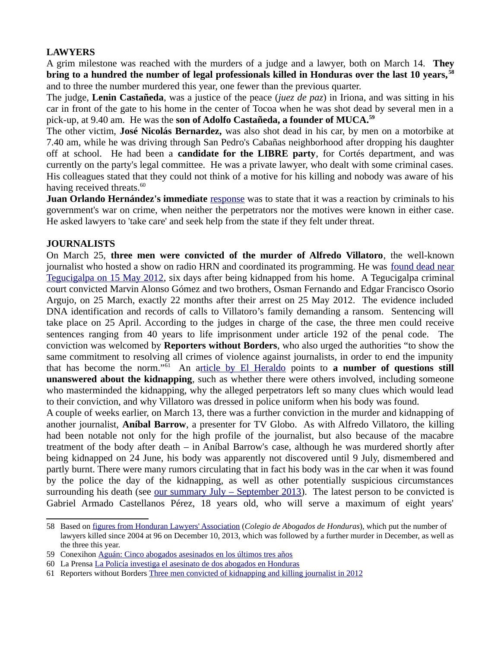## **LAWYERS**

A grim milestone was reached with the murders of a judge and a lawyer, both on March 14. **They bring to a hundred the number of legal professionals killed in Honduras over the last 10 years, [58](#page-11-0)** and to three the number murdered this year, one fewer than the previous quarter.

The judge, **Lenin Castañeda**, was a justice of the peace (*juez de paz*) in Iriona, and was sitting in his car in front of the gate to his home in the center of Tocoa when he was shot dead by several men in a pick-up, at 9.40 am. He was the **son of Adolfo Castañeda, a founder of MUCA.[59](#page-11-1)**

The other victim, **José Nicolás Bernardez,** was also shot dead in his car, by men on a motorbike at 7.40 am, while he was driving through San Pedro's Cabañas neighborhood after dropping his daughter off at school. He had been a **candidate for the LIBRE party**, for Cortés department, and was currently on the party's legal committee. He was a private lawyer, who dealt with some criminal cases. His colleagues stated that they could not think of a motive for his killing and nobody was aware of his having received threats. $^{60}$  $^{60}$  $^{60}$ 

**Juan Orlando Hernández's immediate** [response](http://www.tiempo.hn/sucesos/noticias/juan-orlando-pide-a-los-abogados-que-se-cuiden?utm_source=sucesosTab&utm_medium=page&utm_campaign=tabs) was to state that it was a reaction by criminals to his government's war on crime, when neither the perpetrators nor the motives were known in either case. He asked lawyers to 'take care' and seek help from the state if they felt under threat.

#### **JOURNALISTS**

On March 25, **three men were convicted of the murder of Alfredo Villatoro**, the well-known journalist who hosted a show on radio HRN and coordinated its programming. He was [found dead near](http://en.rsf.org/honduras-journalist-and-rights-activist-09-05-2012,42590.html) [Tegucigalpa on 15 May 2012,](http://en.rsf.org/honduras-journalist-and-rights-activist-09-05-2012,42590.html) six days after being kidnapped from his home. A [Tegucigalpa criminal](http://en.rsf.org/honduras-unprecedented-wave-of-arrests-in-29-05-2012,42685.html) [court convicted](http://en.rsf.org/honduras-unprecedented-wave-of-arrests-in-29-05-2012,42685.html) Marvin Alonso Gómez and two brothers, Osman Fernando and Edgar Francisco Osorio Argujo, on 25 March, exactly 22 months after their arrest on 25 May 2012. The evidence included DNA identification and records of calls to Villatoro's family demanding a ransom. Sentencing will take place on 25 April. According to the judges in charge of the case, the three men could receive sentences ranging from 40 years to life imprisonment under article 192 of the penal code. The conviction was welcomed by **Reporters without Borders**, who also urged the authorities "to show the same commitment to resolving all crimes of violence against journalists, in order to end the impunity that has become the norm."[61](#page-11-3) An [article by El Heraldo](http://www.elheraldo.hn/Secciones-Principales/Sucesos/Misterios-sin-responder-en-el-caso-Villatoro) points to **a number of questions still unanswered about the kidnapping**, such as whether there were others involved, including someone who masterminded the kidnapping, why the alleged perpetrators left so many clues which would lead to their conviction, and why Villatoro was dressed in police uniform when his body was found.

A couple of weeks earlier, on March 13, there was a further conviction in the murder and kidnapping of another journalist, **Aníbal Barrow**, a presenter for TV Globo. As with Alfredo Villatoro, the killing had been notable not only for the high profile of the journalist, but also because of the macabre treatment of the body after death – in Aníbal Barrow's case, although he was murdered shortly after being kidnapped on 24 June, his body was apparently not discovered until 9 July, dismembered and partly burnt. There were many rumors circulating that in fact his body was in the car when it was found by the police the day of the kidnapping, as well as other potentially suspicious circumstances surrounding his death (see <u>our summary July – September 2013</u>). The latest person to be convicted is Gabriel Armado Castellanos Pérez, 18 years old, who will serve a maximum of eight years'

<span id="page-11-0"></span><sup>58</sup> Based on [figures from Honduran Lawyers' Association](http://www.tiempo.hn/portada/noticias/96-abogados-asesinados-en-los-ultimos-nueve-anos) (*Colegio de Abogados de Honduras*), which put the number of lawyers killed since 2004 at 96 on December 10, 2013, which was followed by a further murder in December, as well as the three this year.

<span id="page-11-1"></span><sup>59</sup> Conexihon [Aguán: Cinco abogados asesinados en los últimos tres años](http://conexihon.hn/site/noticia/derechos-humanos/derechos-humanos-ddhh/agu%C3%A1n-cinco-abogados-asesinados-en-los-%C3%BAltimos-tres)

<span id="page-11-2"></span><sup>60</sup> La Prensa [La Policía investiga el asesinato de dos abogados en Honduras](http://www.laprensa.hn/sucesos/policiales/581026-96/la-policia-investiga-el-asesinato-de-dos-abogados-en-honduras)

<span id="page-11-3"></span><sup>61</sup> Reporters without Borders [Three men convicted of kidnapping and killing journalist in 2012](http://en.rsf.org/honduras-three-men-convicted-of-kidnapping-28-03-2014,46054.html)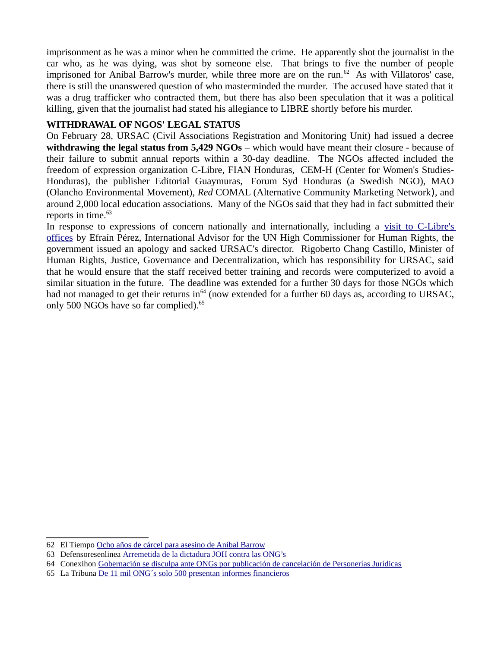imprisonment as he was a minor when he committed the crime. He apparently shot the journalist in the car who, as he was dying, was shot by someone else. That brings to five the number of people imprisoned for Aníbal Barrow's murder, while three more are on the run. $62$  As with Villatoros' case, there is still the unanswered question of who masterminded the murder. The accused have stated that it was a drug trafficker who contracted them, but there has also been speculation that it was a political killing, given that the journalist had stated his allegiance to LIBRE shortly before his murder.

#### **WITHDRAWAL OF NGOS' LEGAL STATUS**

On February 28, URSAC (Civil Associations Registration and Monitoring Unit) had issued a decree **withdrawing the legal status from 5,429 NGOs** – which would have meant their closure - because of their failure to submit annual reports within a 30-day deadline. The NGOs affected included the freedom of expression organization C-Libre, FIAN Honduras, CEM-H (Center for Women's Studies-Honduras), the publisher Editorial Guaymuras, Forum Syd Honduras (a Swedish NGO), MAO (Olancho Environmental Movement), *Red* COMAL (Alternative Community Marketing Network), and around 2,000 local education associations. Many of the NGOs said that they had in fact submitted their reports in time.<sup>[63](#page-12-1)</sup>

In response to expressions of concern nationally and internationally, including a [visit to C-Libre's](http://conexihon.info/site/noticia/libertad-de-expresi%C3%B3n/alto-comisionado-de-los-derechos-humanos-de-las-naciones-unidas-visita) [offices](http://conexihon.info/site/noticia/libertad-de-expresi%C3%B3n/alto-comisionado-de-los-derechos-humanos-de-las-naciones-unidas-visita) by Efraín Pérez, International Advisor for the UN High Commissioner for Human Rights, the government issued an apology and sacked URSAC's director. Rigoberto Chang Castillo, Minister of Human Rights, Justice, Governance and Decentralization, which has responsibility for URSAC, said that he would ensure that the staff received better training and records were computerized to avoid a similar situation in the future. The deadline was extended for a further 30 days for those NGOs which had not managed to get their returns in<sup>[64](#page-12-2)</sup> (now extended for a further 60 days as, according to URSAC, only 500 NGOs have so far complied).<sup>[65](#page-12-3)</sup>

<span id="page-12-0"></span><sup>62</sup> El Tiempo [Ocho años de cárcel para asesino de Aníbal Barrow](http://www.tiempo.hn/portada/noticias/ocho-anos-de-carcel-para-asesino-de-anibal-barrow)

<span id="page-12-1"></span><sup>63</sup> Defensoresenlinea [Arremetida de la dictadura JOH contra las ONG's](http://www.defensoresenlinea.com/cms/index.php?option=com_content&view=article&id=3019:arremetida-de-la-dictadura-joh-contra-las-ongs&catid=54:den&Itemid=171) 

<span id="page-12-2"></span><sup>64</sup> Conexihon [Gobernación se disculpa ante ONGs por publicación de cancelación de Personerías Jurídicas](http://conexihon.hn/site/noticia/libertad-de-expresi%C3%B3n/gobernaci%C3%B3n-se-disculpa-ante-ongs-por-publicaci%C3%B3n-de-cancelaci%C3%B3n-de-0)

<span id="page-12-3"></span><sup>65</sup> La Tribuna [De 11 mil ONG´s solo 500 presentan informes financieros](http://www.latribuna.hn/2014/03/29/de-11-mil-ongs-solo-500-presentan-informes-financieros/)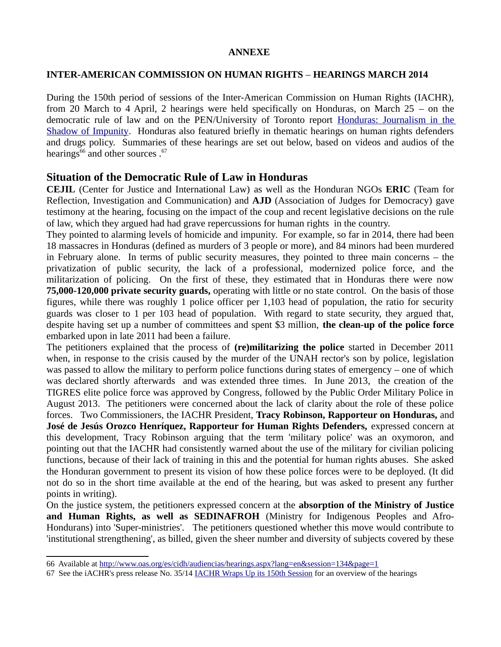#### **ANNEXE**

#### **INTER-AMERICAN COMMISSION ON HUMAN RIGHTS** – **HEARINGS MARCH 2014**

During the 150th period of sessions of the Inter-American Commission on Human Rights (IACHR), from 20 March to 4 April, 2 hearings were held specifically on Honduras, on March 25 – on the democratic rule of law and on the PEN/University of Toronto report [Honduras: Journalism in the](http://webmail.tiscali.co.uk/cp/ps/Mail/ExternalURLProxy?d=tiscali.co.uk&u=jillpowis&url=http://pen-international.us2.list-manage.com/track/click!!u~~9ad2826722a998e8a63b0772f%5E%5Eamp;id~~744d3951ed%5E%5Eamp;e~~0ce62babe2&urlHash=2.8537415986269636E91) [Shadow of Impunity.](http://webmail.tiscali.co.uk/cp/ps/Mail/ExternalURLProxy?d=tiscali.co.uk&u=jillpowis&url=http://pen-international.us2.list-manage.com/track/click!!u~~9ad2826722a998e8a63b0772f%5E%5Eamp;id~~744d3951ed%5E%5Eamp;e~~0ce62babe2&urlHash=2.8537415986269636E91) Honduras also featured briefly in thematic hearings on human rights defenders and drugs policy. Summaries of these hearings are set out below, based on videos and audios of the hearings $^{66}$  $^{66}$  $^{66}$  and other sources  $.^{67}$  $.^{67}$  $.^{67}$ 

## **Situation of the Democratic Rule of Law in Honduras**

**CEJIL** (Center for Justice and International Law) as well as the Honduran NGOs **ERIC** (Team for Reflection, Investigation and Communication) and **AJD** (Association of Judges for Democracy) gave testimony at the hearing, focusing on the impact of the coup and recent legislative decisions on the rule of law, which they argued had had grave repercussions for human rights in the country.

They pointed to alarming levels of homicide and impunity. For example, so far in 2014, there had been 18 massacres in Honduras (defined as murders of 3 people or more), and 84 minors had been murdered in February alone. In terms of public security measures, they pointed to three main concerns – the privatization of public security, the lack of a professional, modernized police force, and the militarization of policing. On the first of these, they estimated that in Honduras there were now **75,000-120,000 private security guards,** operating with little or no state control. On the basis of those figures, while there was roughly 1 police officer per 1,103 head of population, the ratio for security guards was closer to 1 per 103 head of population. With regard to state security, they argued that, despite having set up a number of committees and spent \$3 million, **the clean-up of the police force** embarked upon in late 2011 had been a failure.

The petitioners explained that the process of **(re)militarizing the police** started in December 2011 when, in response to the crisis caused by the murder of the UNAH rector's son by police, legislation was passed to allow the military to perform police functions during states of emergency – one of which was declared shortly afterwards and was extended three times. In June 2013, the creation of the TIGRES elite police force was approved by Congress, followed by the Public Order Military Police in August 2013. The petitioners were concerned about the lack of clarity about the role of these police forces. Two Commissioners, the IACHR President, **Tracy Robinson, Rapporteur on Honduras,** and **José de Jesús Orozco Henríquez, Rapporteur for Human Rights Defenders,** expressed concern at this development, Tracy Robinson arguing that the term 'military police' was an oxymoron, and pointing out that the IACHR had consistently warned about the use of the military for civilian policing functions, because of their lack of training in this and the potential for human rights abuses. She asked the Honduran government to present its vision of how these police forces were to be deployed. (It did not do so in the short time available at the end of the hearing, but was asked to present any further points in writing).

On the justice system, the petitioners expressed concern at the **absorption of the Ministry of Justice and Human Rights, as well as SEDINAFROH** (Ministry for Indigenous Peoples and Afro-Hondurans) into 'Super-ministries'. The petitioners questioned whether this move would contribute to 'institutional strengthening', as billed, given the sheer number and diversity of subjects covered by these

<span id="page-13-0"></span><sup>66</sup> Available at<http://www.oas.org/es/cidh/audiencias/hearings.aspx?lang=en&session=134&page=1>

<span id="page-13-1"></span><sup>67</sup> See the iACHR's press release No. 35/14 [IACHR Wraps Up its 150th Session](http://www.oas.org/en/iachr/media_center/PReleases/2014/035.asp) for an overview of the hearings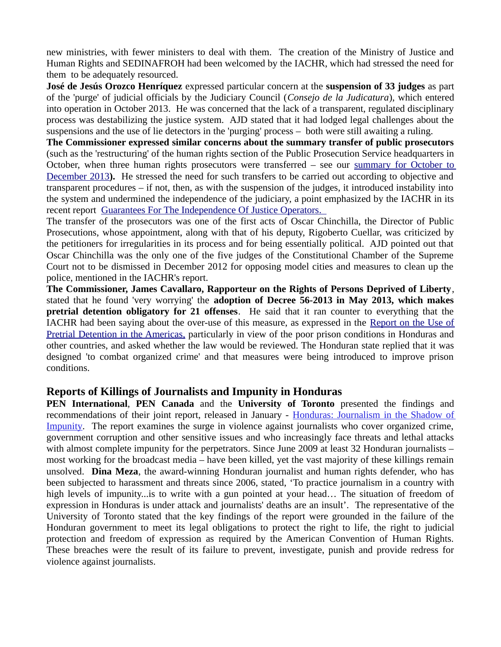new ministries, with fewer ministers to deal with them. The creation of the Ministry of Justice and Human Rights and SEDINAFROH had been welcomed by the IACHR, which had stressed the need for them to be adequately resourced.

**José de Jesús Orozco Henríquez** expressed particular concern at the **suspension of 33 judges** as part of the 'purge' of judicial officials by the Judiciary Council (*Consejo de la Judicatura*), which entered into operation in October 2013. He was concerned that the lack of a transparent, regulated disciplinary process was destabilizing the justice system. AJD stated that it had lodged legal challenges about the suspensions and the use of lie detectors in the 'purging' process – both were still awaiting a ruling.

**The Commissioner expressed similar concerns about the summary transfer of public prosecutors** (such as the 'restructuring' of the human rights section of the Public Prosecution Service headquarters in October, when three human rights prosecutors were transferred – see our [summary for October to](http://www.friendshipamericas.org/sites/default/files/2013%20Oct.NovDec%20HR%20Report.pdf) [December 2013](http://www.friendshipamericas.org/sites/default/files/2013%20Oct.NovDec%20HR%20Report.pdf)**).** He stressed the need for such transfers to be carried out according to objective and transparent procedures – if not, then, as with the suspension of the judges, it introduced instability into the system and undermined the independence of the judiciary, a point emphasized by the IACHR in its recent report Guarantees For The Independence Of Justice Operators.

The transfer of the prosecutors was one of the first acts of Oscar Chinchilla, the Director of Public Prosecutions, whose appointment, along with that of his deputy, Rigoberto Cuellar, was criticized by the petitioners for irregularities in its process and for being essentially political. AJD pointed out that Oscar Chinchilla was the only one of the five judges of the Constitutional Chamber of the Supreme Court not to be dismissed in December 2012 for opposing model cities and measures to clean up the police, mentioned in the IACHR's report.

**The Commissioner, James Cavallaro, Rapporteur on the Rights of Persons Deprived of Liberty**, stated that he found 'very worrying' the **adoption of Decree 56-2013 in May 2013, which makes pretrial detention obligatory for 21 offenses**. He said that it ran counter to everything that the IACHR had been saying about the over-use of this measure, as expressed in the [Report on the Use of](http://www.oas.org/es/cidh/ppl/informes/pdfs/Informe-PP-2013-es.pdf) Pretrial Detention in the Americas, particularly in view of the poor prison conditions in Honduras and other countries, and asked whether the law would be reviewed. The Honduran state replied that it was designed 'to combat organized crime' and that measures were being introduced to improve prison conditions.

## **Reports of Killings of Journalists and Impunity in Honduras**

**PEN International**, **PEN Canada** and the **University of Toronto** presented the findings and recommendations of their joint report, released in January - [Honduras: Journalism in the Shadow of](http://webmail.tiscali.co.uk/cp/ps/Mail/ExternalURLProxy?d=tiscali.co.uk&u=jillpowis&url=http://pen-international.us2.list-manage.com/track/click!!u~~9ad2826722a998e8a63b0772f%5E%5Eamp;id~~744d3951ed%5E%5Eamp;e~~0ce62babe2&urlHash=2.8537415986269636E91) [Impunity.](http://webmail.tiscali.co.uk/cp/ps/Mail/ExternalURLProxy?d=tiscali.co.uk&u=jillpowis&url=http://pen-international.us2.list-manage.com/track/click!!u~~9ad2826722a998e8a63b0772f%5E%5Eamp;id~~744d3951ed%5E%5Eamp;e~~0ce62babe2&urlHash=2.8537415986269636E91) The report examines the surge in violence against journalists who cover organized crime, government corruption and other sensitive issues and who increasingly face threats and lethal attacks with almost complete impunity for the perpetrators. Since June 2009 at least 32 Honduran journalists – most working for the broadcast media – have been killed, yet the vast majority of these killings remain unsolved. **Dina Meza**, the award-winning Honduran journalist and human rights defender, who has been subjected to harassment and threats since 2006, stated, 'To practice journalism in a country with high levels of impunity...is to write with a gun pointed at your head... The situation of freedom of expression in Honduras is under attack and journalists' deaths are an insult'. The representative of the University of Toronto stated that the key findings of the report were grounded in the failure of the Honduran government to meet its legal obligations to protect the right to life, the right to judicial protection and freedom of expression as required by the American Convention of Human Rights. These breaches were the result of its failure to prevent, investigate, punish and provide redress for violence against journalists.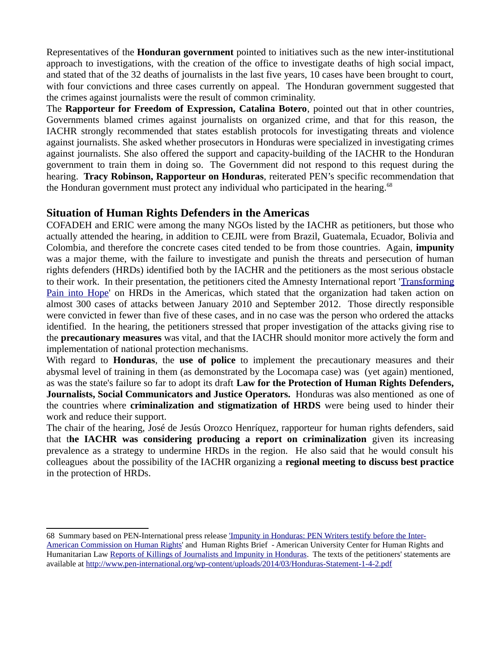Representatives of the **Honduran government** pointed to initiatives such as the new inter-institutional approach to investigations, with the creation of the office to investigate deaths of high social impact, and stated that of the 32 deaths of journalists in the last five years, 10 cases have been brought to court, with four convictions and three cases currently on appeal. The Honduran government suggested that the crimes against journalists were the result of common criminality.

The **Rapporteur for Freedom of Expression, Catalina Botero**, pointed out that in other countries, Governments blamed crimes against journalists on organized crime, and that for this reason, the IACHR strongly recommended that states establish protocols for investigating threats and violence against journalists. She asked whether prosecutors in Honduras were specialized in investigating crimes against journalists. She also offered the support and capacity-building of the IACHR to the Honduran government to train them in doing so. The Government did not respond to this request during the hearing. **Tracy Robinson, Rapporteur on Honduras**, reiterated PEN's specific recommendation that the Honduran government must protect any individual who participated in the hearing.<sup>[68](#page-15-0)</sup>

## **Situation of Human Rights Defenders in the Americas**

COFADEH and ERIC were among the many NGOs listed by the IACHR as petitioners, but those who actually attended the hearing, in addition to CEJIL were from Brazil, Guatemala, Ecuador, Bolivia and Colombia, and therefore the concrete cases cited tended to be from those countries. Again, **impunity** was a major theme, with the failure to investigate and punish the threats and persecution of human rights defenders (HRDs) identified both by the IACHR and the petitioners as the most serious obstacle to their work. In their presentation, the petitioners cited the Amnesty International report '[Transforming](http://www.amnesty.org/en/library/asset/AMR01/006/2012/en/17203aa8-9881-42b5-8635-8be0150c846a/amr010062012en.pdf) [Pain into Hope'](http://www.amnesty.org/en/library/asset/AMR01/006/2012/en/17203aa8-9881-42b5-8635-8be0150c846a/amr010062012en.pdf) on HRDs in the Americas, which stated that the organization had taken action on almost 300 cases of attacks between January 2010 and September 2012. Those directly responsible were convicted in fewer than five of these cases, and in no case was the person who ordered the attacks identified. In the hearing, the petitioners stressed that proper investigation of the attacks giving rise to the **precautionary measures** was vital, and that the IACHR should monitor more actively the form and implementation of national protection mechanisms.

With regard to **Honduras**, the **use of police** to implement the precautionary measures and their abysmal level of training in them (as demonstrated by the Locomapa case) was (yet again) mentioned, as was the state's failure so far to adopt its draft **Law for the Protection of Human Rights Defenders, Journalists, Social Communicators and Justice Operators.** Honduras was also mentioned as one of the countries where **criminalization and stigmatization of HRDS** were being used to hinder their work and reduce their support.

The chair of the hearing, José de Jesús Orozco Henríquez, rapporteur for human rights defenders, said that t**he IACHR was considering producing a report on criminalization** given its increasing prevalence as a strategy to undermine HRDs in the region. He also said that he would consult his colleagues about the possibility of the IACHR organizing a **regional meeting to discuss best practice** in the protection of HRDs.

<span id="page-15-0"></span><sup>68</sup> Summary based on PEN-International press release ['Impunity in Honduras: PEN Writers testify before the Inter-](http://www.pen-international.org/newsitems/impunity-in-honduras-pen-writers-testify-before-inter-american-commission-on-human-rights/)[American Commission on Human Rights'](http://www.pen-international.org/newsitems/impunity-in-honduras-pen-writers-testify-before-inter-american-commission-on-human-rights/) and Human Rights Brief - American University Center for Human Rights and Humanitarian Law [Reports of Killings of Journalists and Impunity in Honduras.](http://hrbrief.org/2014/03/reports-of-killings-of-journalists-and-impunity-in-honduras/) The texts of the petitioners' statements are available at<http://www.pen-international.org/wp-content/uploads/2014/03/Honduras-Statement-1-4-2.pdf>